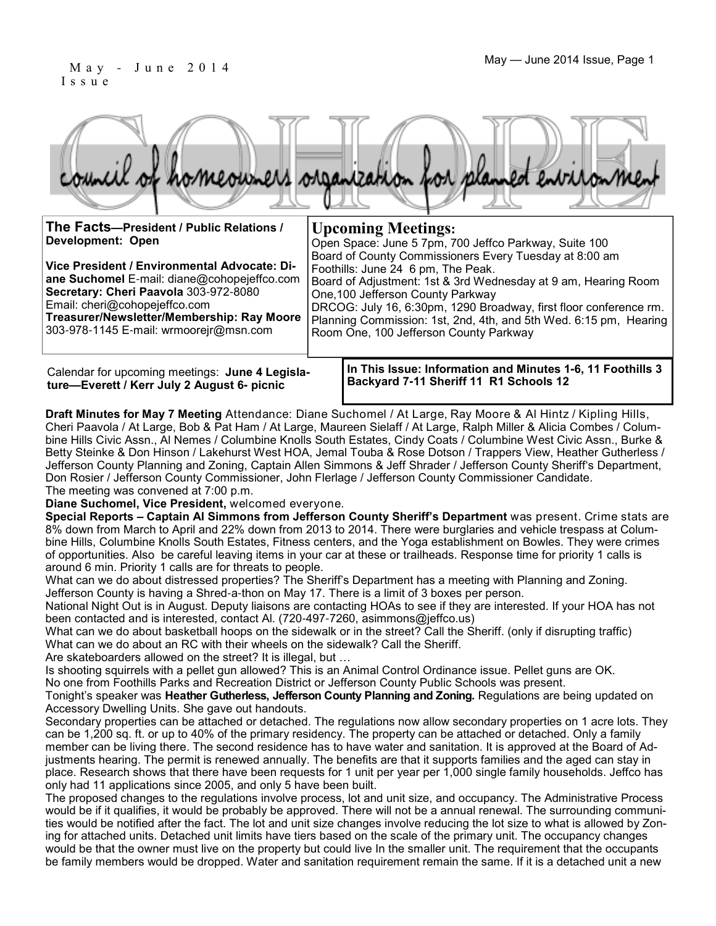### May - June 2014 Issue, Page 1 I s s u e

|           |                                |  |                                                                                | council of homeowners organization for planned entromment |
|-----------|--------------------------------|--|--------------------------------------------------------------------------------|-----------------------------------------------------------|
|           |                                |  |                                                                                |                                                           |
| Tha Easta | Desaident / Dublin Delations / |  | $\mathbf{H}_{\text{in}}$ as $\mathbf{H}_{\text{in}}$ $\mathbf{H}_{\text{out}}$ |                                                           |

| The Facts-President / Public Relations /<br><b>Development: Open</b><br>Vice President / Environmental Advocate: Di-<br>ane Suchomel E-mail: diane@cohopejeffco.com<br>Secretary: Cheri Paavola 303-972-8080<br>Email: cheri@cohopejeffco.com<br>Treasurer/Newsletter/Membership: Ray Moore<br>303-978-1145 E-mail: wrmooreir@msn.com | <b>Upcoming Meetings:</b><br>Open Space: June 5 7pm, 700 Jeffco Parkway, Suite 100<br>Board of County Commissioners Every Tuesday at 8:00 am<br>Foothills: June 24 6 pm, The Peak.<br>Board of Adjustment: 1st & 3rd Wednesday at 9 am, Hearing Room<br>One, 100 Jefferson County Parkway<br>DRCOG: July 16, 6:30pm, 1290 Broadway, first floor conference rm.<br>Planning Commission: 1st, 2nd, 4th, and 5th Wed. 6:15 pm, Hearing<br>Room One, 100 Jefferson County Parkway |
|---------------------------------------------------------------------------------------------------------------------------------------------------------------------------------------------------------------------------------------------------------------------------------------------------------------------------------------|-------------------------------------------------------------------------------------------------------------------------------------------------------------------------------------------------------------------------------------------------------------------------------------------------------------------------------------------------------------------------------------------------------------------------------------------------------------------------------|
| Calendar for upcoming meetings: June 4 Legisla-<br>ture-Everett / Kerr July 2 August 6- picnic                                                                                                                                                                                                                                        | In This Issue: Information and Minutes 1-6, 11 Foothills 3<br>Backyard 7-11 Sheriff 11 R1 Schools 12                                                                                                                                                                                                                                                                                                                                                                          |

**Draft Minutes for May 7 Meeting** Attendance: Diane Suchomel / At Large, Ray Moore & Al Hintz / Kipling Hills, Cheri Paavola / At Large, Bob & Pat Ham / At Large, Maureen Sielaff / At Large, Ralph Miller & Alicia Combes / Columbine Hills Civic Assn., Al Nemes / Columbine Knolls South Estates, Cindy Coats / Columbine West Civic Assn., Burke & Betty Steinke & Don Hinson / Lakehurst West HOA, Jemal Touba & Rose Dotson / Trappers View, Heather Gutherless / Jefferson County Planning and Zoning, Captain Allen Simmons & Jeff Shrader / Jefferson County Sheriff's Department, Don Rosier / Jefferson County Commissioner, John Flerlage / Jefferson County Commissioner Candidate. The meeting was convened at 7:00 p.m.

**Diane Suchomel, Vice President,** welcomed everyone.

**Special Reports – Captain Al Simmons from Jefferson County Sheriff's Department** was present. Crime stats are 8% down from March to April and 22% down from 2013 to 2014. There were burglaries and vehicle trespass at Columbine Hills, Columbine Knolls South Estates, Fitness centers, and the Yoga establishment on Bowles. They were crimes of opportunities. Also be careful leaving items in your car at these or trailheads. Response time for priority 1 calls is around 6 min. Priority 1 calls are for threats to people.

What can we do about distressed properties? The Sheriff's Department has a meeting with Planning and Zoning. Jefferson County is having a Shred-a-thon on May 17. There is a limit of 3 boxes per person.

National Night Out is in August. Deputy liaisons are contacting HOAs to see if they are interested. If your HOA has not been contacted and is interested, contact Al. (720-497-7260, asimmons@jeffco.us)

What can we do about basketball hoops on the sidewalk or in the street? Call the Sheriff. (only if disrupting traffic) What can we do about an RC with their wheels on the sidewalk? Call the Sheriff.

Are skateboarders allowed on the street? It is illegal, but …

Is shooting squirrels with a pellet gun allowed? This is an Animal Control Ordinance issue. Pellet guns are OK.

No one from Foothills Parks and Recreation District or Jefferson County Public Schools was present.

Tonight's speaker was **Heather Gutherless, Jefferson County Planning and Zoning.** Regulations are being updated on Accessory Dwelling Units. She gave out handouts.

Secondary properties can be attached or detached. The regulations now allow secondary properties on 1 acre lots. They can be 1,200 sq. ft. or up to 40% of the primary residency. The property can be attached or detached. Only a family member can be living there. The second residence has to have water and sanitation. It is approved at the Board of Adjustments hearing. The permit is renewed annually. The benefits are that it supports families and the aged can stay in place. Research shows that there have been requests for 1 unit per year per 1,000 single family households. Jeffco has only had 11 applications since 2005, and only 5 have been built.

The proposed changes to the regulations involve process, lot and unit size, and occupancy. The Administrative Process would be if it qualifies, it would be probably be approved. There will not be a annual renewal. The surrounding communities would be notified after the fact. The lot and unit size changes involve reducing the lot size to what is allowed by Zoning for attached units. Detached unit limits have tiers based on the scale of the primary unit. The occupancy changes would be that the owner must live on the property but could live In the smaller unit. The requirement that the occupants be family members would be dropped. Water and sanitation requirement remain the same. If it is a detached unit a new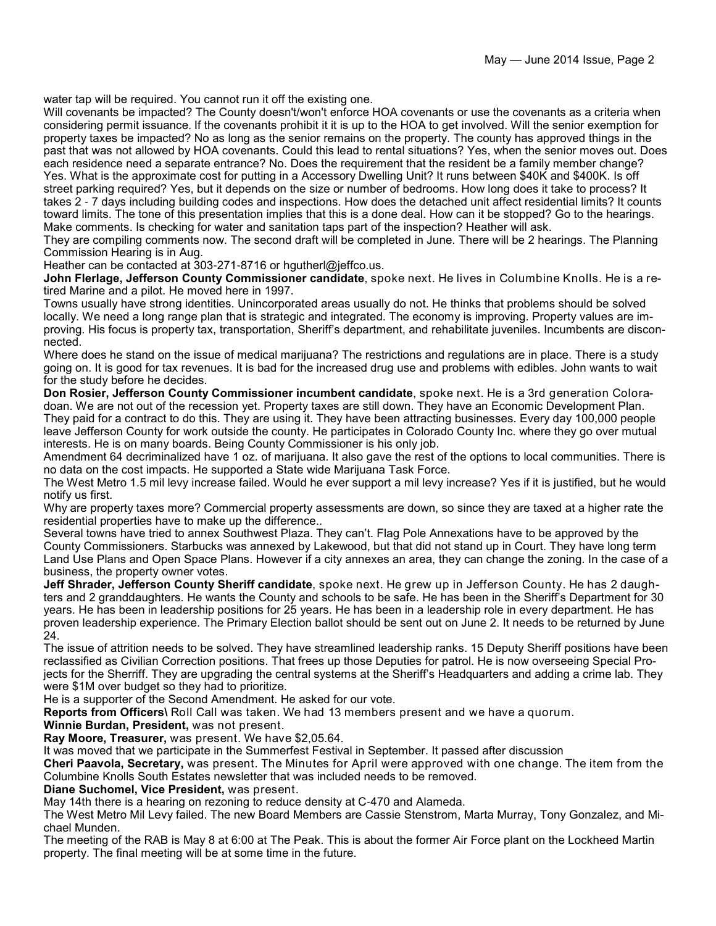water tap will be required. You cannot run it off the existing one.

Will covenants be impacted? The County doesn't/won't enforce HOA covenants or use the covenants as a criteria when considering permit issuance. If the covenants prohibit it it is up to the HOA to get involved. Will the senior exemption for property taxes be impacted? No as long as the senior remains on the property. The county has approved things in the past that was not allowed by HOA covenants. Could this lead to rental situations? Yes, when the senior moves out. Does each residence need a separate entrance? No. Does the requirement that the resident be a family member change? Yes. What is the approximate cost for putting in a Accessory Dwelling Unit? It runs between \$40K and \$400K. Is off street parking required? Yes, but it depends on the size or number of bedrooms. How long does it take to process? It takes 2 - 7 days including building codes and inspections. How does the detached unit affect residential limits? It counts toward limits. The tone of this presentation implies that this is a done deal. How can it be stopped? Go to the hearings. Make comments. Is checking for water and sanitation taps part of the inspection? Heather will ask.

They are compiling comments now. The second draft will be completed in June. There will be 2 hearings. The Planning Commission Hearing is in Aug.

Heather can be contacted at 303-271-8716 or hgutherl@jeffco.us.

**John Flerlage, Jefferson County Commissioner candidate**, spoke next. He lives in Columbine Knolls. He is a retired Marine and a pilot. He moved here in 1997.

Towns usually have strong identities. Unincorporated areas usually do not. He thinks that problems should be solved locally. We need a long range plan that is strategic and integrated. The economy is improving. Property values are improving. His focus is property tax, transportation, Sheriff's department, and rehabilitate juveniles. Incumbents are disconnected.

Where does he stand on the issue of medical marijuana? The restrictions and regulations are in place. There is a study going on. It is good for tax revenues. It is bad for the increased drug use and problems with edibles. John wants to wait for the study before he decides.

**Don Rosier, Jefferson County Commissioner incumbent candidate**, spoke next. He is a 3rd generation Coloradoan. We are not out of the recession yet. Property taxes are still down. They have an Economic Development Plan. They paid for a contract to do this. They are using it. They have been attracting businesses. Every day 100,000 people leave Jefferson County for work outside the county. He participates in Colorado County Inc. where they go over mutual interests. He is on many boards. Being County Commissioner is his only job.

Amendment 64 decriminalized have 1 oz. of marijuana. It also gave the rest of the options to local communities. There is no data on the cost impacts. He supported a State wide Marijuana Task Force.

The West Metro 1.5 mil levy increase failed. Would he ever support a mil levy increase? Yes if it is justified, but he would notify us first.

Why are property taxes more? Commercial property assessments are down, so since they are taxed at a higher rate the residential properties have to make up the difference..

Several towns have tried to annex Southwest Plaza. They can't. Flag Pole Annexations have to be approved by the County Commissioners. Starbucks was annexed by Lakewood, but that did not stand up in Court. They have long term Land Use Plans and Open Space Plans. However if a city annexes an area, they can change the zoning. In the case of a business, the property owner votes.

**Jeff Shrader, Jefferson County Sheriff candidate**, spoke next. He grew up in Jefferson County. He has 2 daughters and 2 granddaughters. He wants the County and schools to be safe. He has been in the Sheriff's Department for 30 years. He has been in leadership positions for 25 years. He has been in a leadership role in every department. He has proven leadership experience. The Primary Election ballot should be sent out on June 2. It needs to be returned by June  $24.$ 

The issue of attrition needs to be solved. They have streamlined leadership ranks. 15 Deputy Sheriff positions have been reclassified as Civilian Correction positions. That frees up those Deputies for patrol. He is now overseeing Special Projects for the Sherriff. They are upgrading the central systems at the Sheriff's Headquarters and adding a crime lab. They were \$1M over budget so they had to prioritize.

He is a supporter of the Second Amendment. He asked for our vote.

**Reports from Officers\** Roll Call was taken. We had 13 members present and we have a quorum.

**Winnie Burdan, President,** was not present.

**Ray Moore, Treasurer,** was present. We have \$2,05.64.

It was moved that we participate in the Summerfest Festival in September. It passed after discussion

**Cheri Paavola, Secretary,** was present. The Minutes for April were approved with one change. The item from the Columbine Knolls South Estates newsletter that was included needs to be removed.

#### **Diane Suchomel, Vice President,** was present.

May 14th there is a hearing on rezoning to reduce density at C-470 and Alameda.

The West Metro Mil Levy failed. The new Board Members are Cassie Stenstrom, Marta Murray, Tony Gonzalez, and Michael Munden.

The meeting of the RAB is May 8 at 6:00 at The Peak. This is about the former Air Force plant on the Lockheed Martin property. The final meeting will be at some time in the future.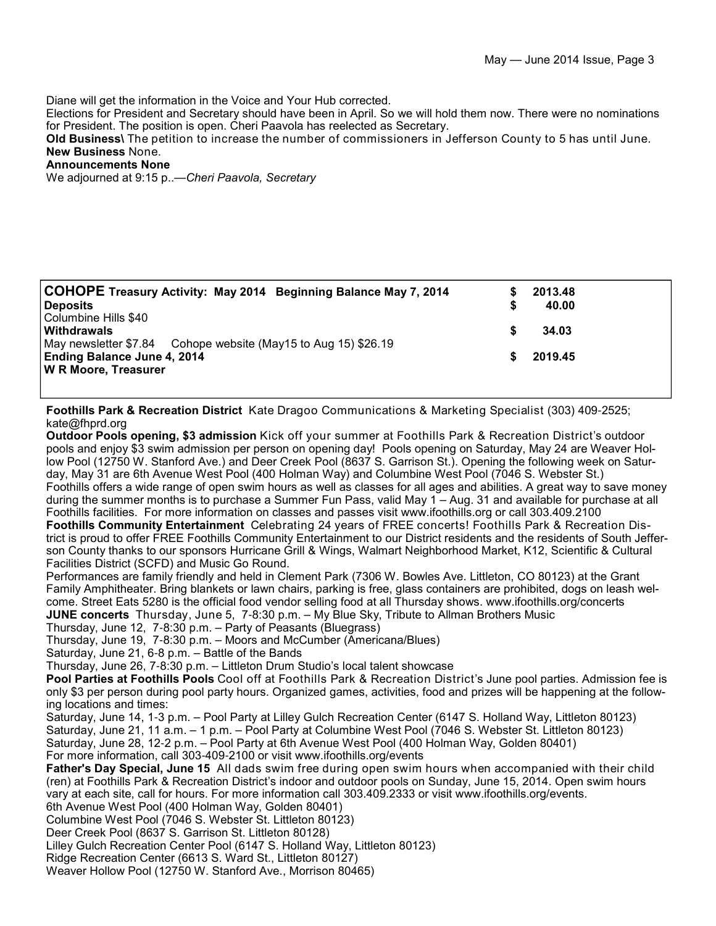Diane will get the information in the Voice and Your Hub corrected.

Elections for President and Secretary should have been in April. So we will hold them now. There were no nominations for President. The position is open. Cheri Paavola has reelected as Secretary.

**Old Business\** The petition to increase the number of commissioners in Jefferson County to 5 has until June. **New Business** None.

#### **Announcements None**

We adjourned at 9:15 p..—*Cheri Paavola, Secretary*

| COHOPE Treasury Activity: May 2014 Beginning Balance May 7, 2014<br><b>Deposits</b>                  | 2013.48<br>40.00 |
|------------------------------------------------------------------------------------------------------|------------------|
| Columbine Hills \$40<br><b>Withdrawals</b>                                                           | 34.03            |
| May newsletter \$7.84 Cohope website (May15 to Aug 15) \$26.19<br><b>Ending Balance June 4, 2014</b> | 2019.45          |
| <b>W R Moore, Treasurer</b>                                                                          |                  |

**Foothills Park & Recreation District** Kate Dragoo Communications & Marketing Specialist (303) 409-2525; kate@fhprd.org

**Outdoor Pools opening, \$3 admission** Kick off your summer at Foothills Park & Recreation District's outdoor pools and enjoy \$3 swim admission per person on opening day! Pools opening on Saturday, May 24 are Weaver Hollow Pool (12750 W. Stanford Ave.) and Deer Creek Pool (8637 S. Garrison St.). Opening the following week on Saturday, May 31 are 6th Avenue West Pool (400 Holman Way) and Columbine West Pool (7046 S. Webster St.) Foothills offers a wide range of open swim hours as well as classes for all ages and abilities. A great way to save money during the summer months is to purchase a Summer Fun Pass, valid May 1 – Aug. 31 and available for purchase at all Foothills facilities. For more information on classes and passes visit www.ifoothills.org or call 303.409.2100 **Foothills Community Entertainment** Celebrating 24 years of FREE concerts! Foothills Park & Recreation District is proud to offer FREE Foothills Community Entertainment to our District residents and the residents of South Jeffer-

son County thanks to our sponsors Hurricane Grill & Wings, Walmart Neighborhood Market, K12, Scientific & Cultural Facilities District (SCFD) and Music Go Round.

Performances are family friendly and held in Clement Park (7306 W. Bowles Ave. Littleton, CO 80123) at the Grant Family Amphitheater. Bring blankets or lawn chairs, parking is free, glass containers are prohibited, dogs on leash welcome. Street Eats 5280 is the official food vendor selling food at all Thursday shows. www.ifoothills.org/concerts

**JUNE concerts** Thursday, June 5, 7-8:30 p.m. – My Blue Sky, Tribute to Allman Brothers Music

Thursday, June 12, 7-8:30 p.m. – Party of Peasants (Bluegrass)

Thursday, June 19, 7-8:30 p.m. – Moors and McCumber (Americana/Blues)

Saturday, June 21, 6-8 p.m. – Battle of the Bands

Thursday, June 26, 7-8:30 p.m. – Littleton Drum Studio's local talent showcase

**Pool Parties at Foothills Pools** Cool off at Foothills Park & Recreation District's June pool parties. Admission fee is only \$3 per person during pool party hours. Organized games, activities, food and prizes will be happening at the following locations and times:

Saturday, June 14, 1-3 p.m. – Pool Party at Lilley Gulch Recreation Center (6147 S. Holland Way, Littleton 80123) Saturday, June 21, 11 a.m. – 1 p.m. – Pool Party at Columbine West Pool (7046 S. Webster St. Littleton 80123) Saturday, June 28, 12-2 p.m. – Pool Party at 6th Avenue West Pool (400 Holman Way, Golden 80401)

For more information, call 303-409-2100 or visit www.ifoothills.org/events

**Father's Day Special, June 15** All dads swim free during open swim hours when accompanied with their child (ren) at Foothills Park & Recreation District's indoor and outdoor pools on Sunday, June 15, 2014. Open swim hours vary at each site, call for hours. For more information call 303.409.2333 or visit www.ifoothills.org/events.

6th Avenue West Pool (400 Holman Way, Golden 80401)

Columbine West Pool (7046 S. Webster St. Littleton 80123)

Deer Creek Pool (8637 S. Garrison St. Littleton 80128)

Lilley Gulch Recreation Center Pool (6147 S. Holland Way, Littleton 80123)

Ridge Recreation Center (6613 S. Ward St., Littleton 80127)

Weaver Hollow Pool (12750 W. Stanford Ave., Morrison 80465)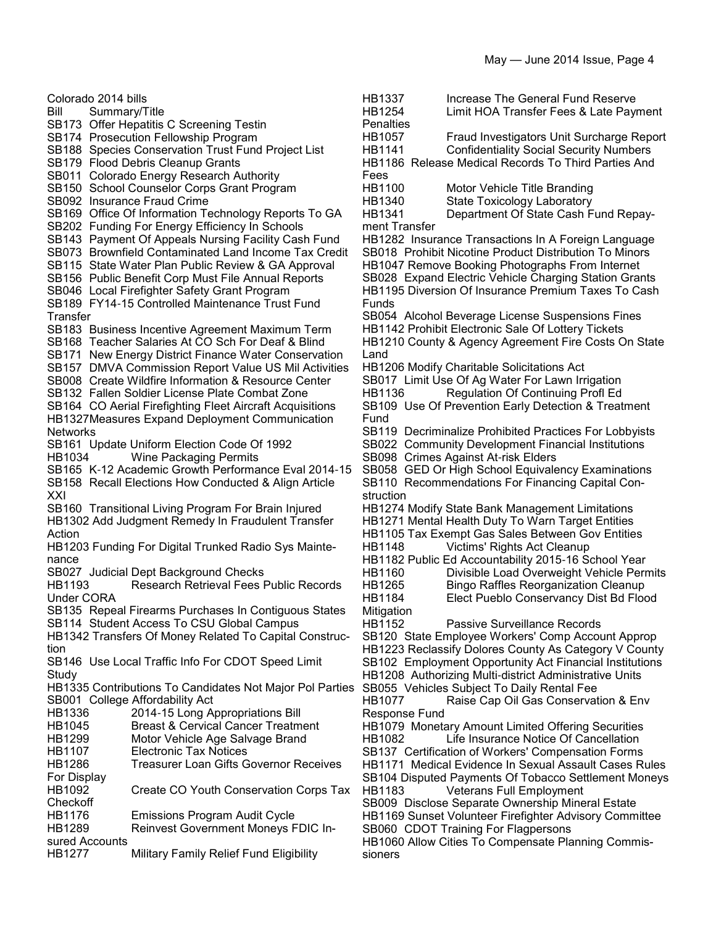Colorado 2014 bills Bill Summary/Title SB173 Offer Hepatitis C Screening Testin SB174 Prosecution Fellowship Program SB188 Species Conservation Trust Fund Project List SB179 Flood Debris Cleanup Grants SB011 Colorado Energy Research Authority SB150 School Counselor Corps Grant Program SB092 Insurance Fraud Crime SB169 Office Of Information Technology Reports To GA SB202 Funding For Energy Efficiency In Schools SB143 Payment Of Appeals Nursing Facility Cash Fund SB073 Brownfield Contaminated Land Income Tax Credit SB115 State Water Plan Public Review & GA Approval SB156 Public Benefit Corp Must File Annual Reports SB046 Local Firefighter Safety Grant Program SB189 FY14-15 Controlled Maintenance Trust Fund Transfer SB183 Business Incentive Agreement Maximum Term SB168 Teacher Salaries At CO Sch For Deaf & Blind SB171 New Energy District Finance Water Conservation SB157 DMVA Commission Report Value US Mil Activities SB008 Create Wildfire Information & Resource Center SB132 Fallen Soldier License Plate Combat Zone SB164 CO Aerial Firefighting Fleet Aircraft Acquisitions HB1327Measures Expand Deployment Communication **Networks** SB161 Update Uniform Election Code Of 1992 HB1034 Wine Packaging Permits SB165 K-12 Academic Growth Performance Eval 2014-15 SB158 Recall Elections How Conducted & Align Article XXI SB160 Transitional Living Program For Brain Injured HB1302 Add Judgment Remedy In Fraudulent Transfer Action HB1203 Funding For Digital Trunked Radio Sys Maintenance SB027 Judicial Dept Background Checks HB1193 Research Retrieval Fees Public Records Under CORA SB135 Repeal Firearms Purchases In Contiguous States SB114 Student Access To CSU Global Campus HB1342 Transfers Of Money Related To Capital Construction SB146 Use Local Traffic Info For CDOT Speed Limit Study HB1335 Contributions To Candidates Not Major Pol Parties SB001 College Affordability Act HB1336 2014-15 Long Appropriations Bill HB1045 Breast & Cervical Cancer Treatment<br>HB1299 Motor Vehicle Age Salvage Brand Motor Vehicle Age Salvage Brand HB1107 Electronic Tax Notices HB1286 Treasurer Loan Gifts Governor Receives For Display HB1092 Create CO Youth Conservation Corps Tax **Checkoff** HB1176 Emissions Program Audit Cycle<br>HB1289 Beinvest Government Moneys F Reinvest Government Moneys FDIC Insured Accounts HB1277 Military Family Relief Fund Eligibility HB1337 Increase The General Fund Reserve<br>HB1254 Init HOA Transfer Fees & Late Pavi Limit HOA Transfer Fees & Late Payment **Penalties** HB1057 Fraud Investigators Unit Surcharge Report HB1141 Confidentiality Social Security Numbers HB1186 Release Medical Records To Third Parties And Fees HB1100 Motor Vehicle Title Branding HB1340 State Toxicology Laboratory HB1341 Department Of State Cash Fund Repayment Transfer HB1282 Insurance Transactions In A Foreign Language SB018 Prohibit Nicotine Product Distribution To Minors HB1047 Remove Booking Photographs From Internet SB028 Expand Electric Vehicle Charging Station Grants HB1195 Diversion Of Insurance Premium Taxes To Cash Funds SB054 Alcohol Beverage License Suspensions Fines HB1142 Prohibit Electronic Sale Of Lottery Tickets HB1210 County & Agency Agreement Fire Costs On State Land HB1206 Modify Charitable Solicitations Act SB017 Limit Use Of Ag Water For Lawn Irrigation HB1136 Regulation Of Continuing Profl Ed SB109 Use Of Prevention Early Detection & Treatment Fund SB119 Decriminalize Prohibited Practices For Lobbyists SB022 Community Development Financial Institutions SB098 Crimes Against At-risk Elders SB058 GED Or High School Equivalency Examinations SB110 Recommendations For Financing Capital Construction HB1274 Modify State Bank Management Limitations HB1271 Mental Health Duty To Warn Target Entities HB1105 Tax Exempt Gas Sales Between Gov Entities HB1148 Victims' Rights Act Cleanup HB1182 Public Ed Accountability 2015-16 School Year HB1160 Divisible Load Overweight Vehicle Permits HB1265 Bingo Raffles Reorganization Cleanup HB1184 Elect Pueblo Conservancy Dist Bd Flood **Mitigation** HB1152 Passive Surveillance Records SB120 State Employee Workers' Comp Account Approp HB1223 Reclassify Dolores County As Category V County SB102 Employment Opportunity Act Financial Institutions HB1208 Authorizing Multi-district Administrative Units SB055 Vehicles Subject To Daily Rental Fee Raise Cap Oil Gas Conservation & Env Response Fund HB1079 Monetary Amount Limited Offering Securities HB1082 Life Insurance Notice Of Cancellation SB137 Certification of Workers' Compensation Forms HB1171 Medical Evidence In Sexual Assault Cases Rules SB104 Disputed Payments Of Tobacco Settlement Moneys HB1183 Veterans Full Employment SB009 Disclose Separate Ownership Mineral Estate HB1169 Sunset Volunteer Firefighter Advisory Committee SB060 CDOT Training For Flagpersons HB1060 Allow Cities To Compensate Planning Commissioners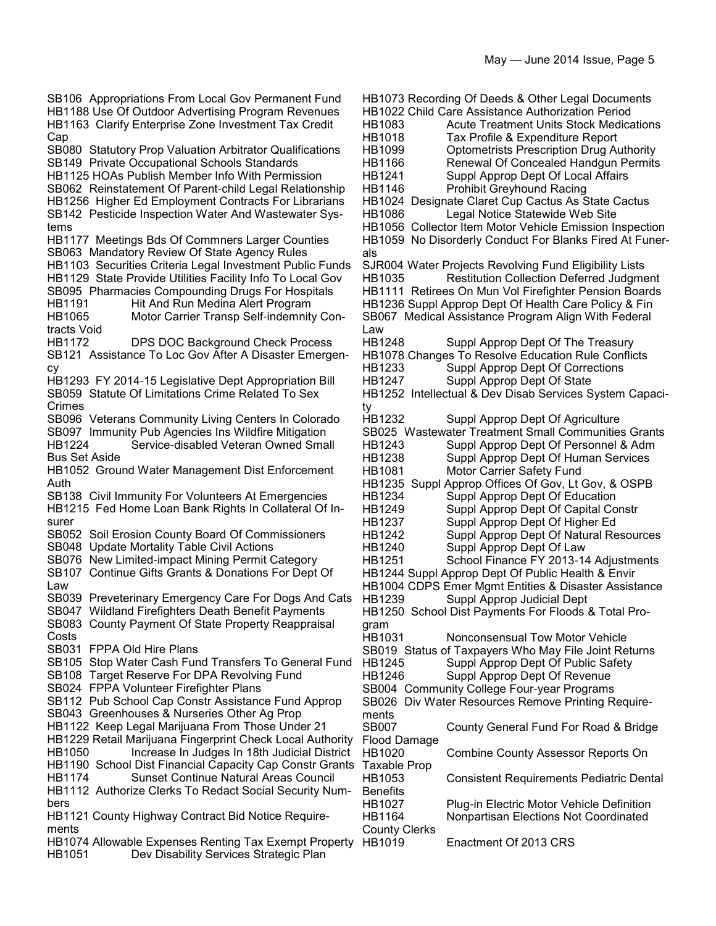SB106 Appropriations From Local Gov Permanent Fund HB1188 Use Of Outdoor Advertising Program Revenues HB1163 Clarify Enterprise Zone Investment Tax Credit Cap

SB080 Statutory Prop Valuation Arbitrator Qualifications SB149 Private Occupational Schools Standards

HB1125 HOAs Publish Member Info With Permission SB062 Reinstatement Of Parent-child Legal Relationship HB1256 Higher Ed Employment Contracts For Librarians SB142 Pesticide Inspection Water And Wastewater Systems

HB1177 Meetings Bds Of Commners Larger Counties SB063 Mandatory Review Of State Agency Rules HB1103 Securities Criteria Legal Investment Public Funds HB1129 State Provide Utilities Facility Info To Local Gov

SB095 Pharmacies Compounding Drugs For Hospitals HB1191 Hit And Run Medina Alert Program

HB1065 Motor Carrier Transp Self-indemnity Contracts Void

HB1172 DPS DOC Background Check Process

SB121 Assistance To Loc Gov After A Disaster Emergency

HB1293 FY 2014-15 Legislative Dept Appropriation Bill SB059 Statute Of Limitations Crime Related To Sex Crimes

SB096 Veterans Community Living Centers In Colorado SB097 Immunity Pub Agencies Ins Wildfire Mitigation HB1224 Service-disabled Veteran Owned Small

Bus Set Aside

HB1052 Ground Water Management Dist Enforcement Auth

SB138 Civil Immunity For Volunteers At Emergencies

HB1215 Fed Home Loan Bank Rights In Collateral Of Insurer

SB052 Soil Erosion County Board Of Commissioners

SB048 Update Mortality Table Civil Actions

SB076 New Limited-impact Mining Permit Category

SB107 Continue Gifts Grants & Donations For Dept Of Law

- SB039 Preveterinary Emergency Care For Dogs And Cats
- SB047 Wildland Firefighters Death Benefit Payments

SB083 County Payment Of State Property Reappraisal Costs

- SB031 FPPA Old Hire Plans
- SB105 Stop Water Cash Fund Transfers To General Fund

SB108 Target Reserve For DPA Revolving Fund

SB024 FPPA Volunteer Firefighter Plans

SB112 Pub School Cap Constr Assistance Fund Approp SB043 Greenhouses & Nurseries Other Ag Prop

HB1122 Keep Legal Marijuana From Those Under 21

HB1229 Retail Marijuana Fingerprint Check Local Authority HB1050 Increase In Judges In 18th Judicial District

HB1190 School Dist Financial Capacity Cap Constr Grants

HB1174 Sunset Continue Natural Areas Council HB1112 Authorize Clerks To Redact Social Security Num-

bers

HB1121 County Highway Contract Bid Notice Requirements

HB1074 Allowable Expenses Renting Tax Exempt Property HB1051 Dev Disability Services Strategic Plan

HB1073 Recording Of Deeds & Other Legal Documents HB1022 Child Care Assistance Authorization Period HB1083 Acute Treatment Units Stock Medications HB1018 Tax Profile & Expenditure Report<br>HB1099 Optometrists Prescription Drug Ar **Optometrists Prescription Drug Authority** HB1166 Renewal Of Concealed Handgun Permits HB1241 Suppl Approp Dept Of Local Affairs HB1146 Prohibit Greyhound Racing HB1024 Designate Claret Cup Cactus As State Cactus HB1086 Legal Notice Statewide Web Site HB1056 Collector Item Motor Vehicle Emission Inspection HB1059 No Disorderly Conduct For Blanks Fired At Funerals SJR004 Water Projects Revolving Fund Eligibility Lists HB1035 Restitution Collection Deferred Judgment HB1111 Retirees On Mun Vol Firefighter Pension Boards HB1236 Suppl Approp Dept Of Health Care Policy & Fin SB067 Medical Assistance Program Align With Federal Law HB1248 Suppl Approp Dept Of The Treasury HB1078 Changes To Resolve Education Rule Conflicts HB1233 Suppl Approp Dept Of Corrections<br>HB1247 Suppl Approp Dept Of State Suppl Approp Dept Of State HB1252 Intellectual & Dev Disab Services System Capacity HB1232 Suppl Approp Dept Of Agriculture SB025 Wastewater Treatment Small Communities Grants HB1243 Suppl Approp Dept Of Personnel & Adm HB1238 Suppl Approp Dept Of Human Services HB1081 Motor Carrier Safety Fund HB1235 Suppl Approp Offices Of Gov, Lt Gov, & OSPB HB1234 Suppl Approp Dept Of Education HB1249 Suppl Approp Dept Of Capital Constr HB1237 Suppl Approp Dept Of Higher Ed HB1242 Suppl Approp Dept Of Natural Resources<br>HB1240 Suppl Approp Dept Of Law Suppl Approp Dept Of Law HB1251 School Finance FY 2013-14 Adjustments HB1244 Suppl Approp Dept Of Public Health & Envir HB1004 CDPS Emer Mgmt Entities & Disaster Assistance HB1239 Suppl Approp Judicial Dept HB1250 School Dist Payments For Floods & Total Program HB1031 Nonconsensual Tow Motor Vehicle SB019 Status of Taxpayers Who May File Joint Returns HB1245 Suppl Approp Dept Of Public Safety HB1246 Suppl Approp Dept Of Revenue SB004 Community College Four-year Programs SB026 Div Water Resources Remove Printing Requirements SB007 County General Fund For Road & Bridge Flood Damage HB1020 Combine County Assessor Reports On Taxable Prop HB1053 Consistent Requirements Pediatric Dental Benefits HB1027 Plug-in Electric Motor Vehicle Definition HB1164 Nonpartisan Elections Not Coordinated

County Clerks Enactment Of 2013 CRS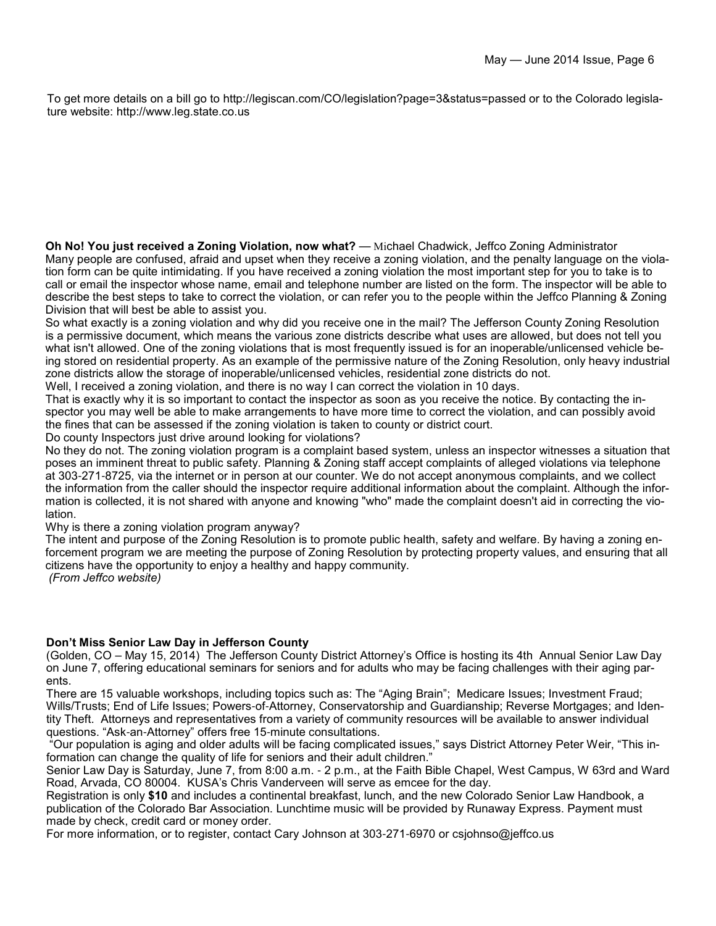To get more details on a bill go to http://legiscan.com/CO/legislation?page=3&status=passed or to the Colorado legislature website: http://www.leg.state.co.us

**Oh No! You just received a Zoning Violation, now what?** — Michael Chadwick, Jeffco Zoning Administrator Many people are confused, afraid and upset when they receive a zoning violation, and the penalty language on the violation form can be quite intimidating. If you have received a zoning violation the most important step for you to take is to call or email the inspector whose name, email and telephone number are listed on the form. The inspector will be able to describe the best steps to take to correct the violation, or can refer you to the people within the Jeffco Planning & Zoning Division that will best be able to assist you.

So what exactly is a zoning violation and why did you receive one in the mail? The Jefferson County Zoning Resolution is a permissive document, which means the various zone districts describe what uses are allowed, but does not tell you what isn't allowed. One of the zoning violations that is most frequently issued is for an inoperable/unlicensed vehicle being stored on residential property. As an example of the permissive nature of the Zoning Resolution, only heavy industrial zone districts allow the storage of inoperable/unlicensed vehicles, residential zone districts do not.

Well, I received a zoning violation, and there is no way I can correct the violation in 10 days.

That is exactly why it is so important to contact the inspector as soon as you receive the notice. By contacting the inspector you may well be able to make arrangements to have more time to correct the violation, and can possibly avoid the fines that can be assessed if the zoning violation is taken to county or district court.

Do county Inspectors just drive around looking for violations?

No they do not. The zoning violation program is a complaint based system, unless an inspector witnesses a situation that poses an imminent threat to public safety. Planning & Zoning staff accept complaints of alleged violations via telephone at 303-271-8725, via the internet or in person at our counter. We do not accept anonymous complaints, and we collect the information from the caller should the inspector require additional information about the complaint. Although the information is collected, it is not shared with anyone and knowing "who" made the complaint doesn't aid in correcting the violation.

Why is there a zoning violation program anyway?

The intent and purpose of the Zoning Resolution is to promote public health, safety and welfare. By having a zoning enforcement program we are meeting the purpose of Zoning Resolution by protecting property values, and ensuring that all citizens have the opportunity to enjoy a healthy and happy community.

*(From Jeffco website)*

#### **Don't Miss Senior Law Day in Jefferson County**

(Golden, CO – May 15, 2014) The Jefferson County District Attorney's Office is hosting its 4th Annual Senior Law Day on June 7, offering educational seminars for seniors and for adults who may be facing challenges with their aging parents.

There are 15 valuable workshops, including topics such as: The "Aging Brain"; Medicare Issues; Investment Fraud; Wills/Trusts; End of Life Issues; Powers-of-Attorney, Conservatorship and Guardianship; Reverse Mortgages; and Identity Theft. Attorneys and representatives from a variety of community resources will be available to answer individual questions. "Ask-an-Attorney" offers free 15-minute consultations.

 "Our population is aging and older adults will be facing complicated issues," says District Attorney Peter Weir, "This information can change the quality of life for seniors and their adult children."

Senior Law Day is Saturday, June 7, from 8:00 a.m. - 2 p.m., at the Faith Bible Chapel, West Campus, W 63rd and Ward Road, Arvada, CO 80004. KUSA's Chris Vanderveen will serve as emcee for the day.

Registration is only **\$10** and includes a continental breakfast, lunch, and the new Colorado Senior Law Handbook, a publication of the Colorado Bar Association. Lunchtime music will be provided by Runaway Express. Payment must made by check, credit card or money order.

For more information, or to register, contact Cary Johnson at 303-271-6970 or csjohnso@jeffco.us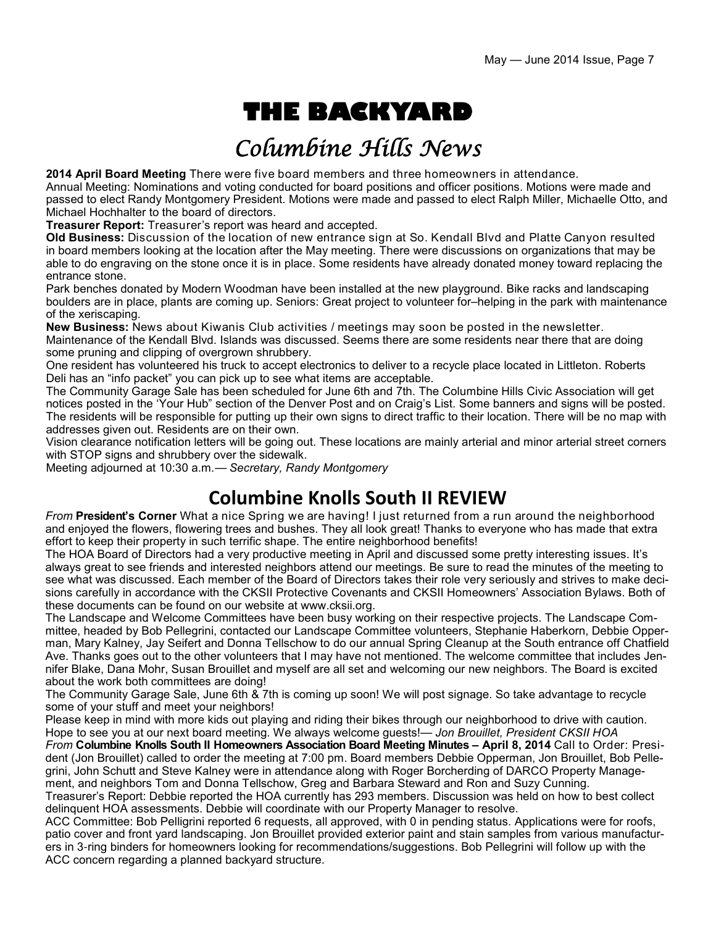# **THE BACKYARD**

## Columbine Hills News

**2014 April Board Meeting** There were five board members and three homeowners in attendance.

Annual Meeting: Nominations and voting conducted for board positions and officer positions. Motions were made and passed to elect Randy Montgomery President. Motions were made and passed to elect Ralph Miller, Michaelle Otto, and Michael Hochhalter to the board of directors.

**Treasurer Report:** Treasurer's report was heard and accepted.

**Old Business:** Discussion of the location of new entrance sign at So. Kendall Blvd and Platte Canyon resulted in board members looking at the location after the May meeting. There were discussions on organizations that may be able to do engraving on the stone once it is in place. Some residents have already donated money toward replacing the entrance stone.

Park benches donated by Modern Woodman have been installed at the new playground. Bike racks and landscaping boulders are in place, plants are coming up. Seniors: Great project to volunteer for–helping in the park with maintenance of the xeriscaping.

**New Business:** News about Kiwanis Club activities / meetings may soon be posted in the newsletter. Maintenance of the Kendall Blvd. Islands was discussed. Seems there are some residents near there that are doing some pruning and clipping of overgrown shrubbery.

One resident has volunteered his truck to accept electronics to deliver to a recycle place located in Littleton. Roberts Deli has an "info packet" you can pick up to see what items are acceptable.

The Community Garage Sale has been scheduled for June 6th and 7th. The Columbine Hills Civic Association will get notices posted in the 'Your Hub" section of the Denver Post and on Craig's List. Some banners and signs will be posted. The residents will be responsible for putting up their own signs to direct traffic to their location. There will be no map with addresses given out. Residents are on their own.

Vision clearance notification letters will be going out. These locations are mainly arterial and minor arterial street corners with STOP signs and shrubbery over the sidewalk.

Meeting adjourned at 10:30 a.m.— *Secretary, Randy Montgomery*

### **Columbine Knolls South II REVIEW**

*From* **President's Corner** What a nice Spring we are having! I just returned from a run around the neighborhood and enjoyed the flowers, flowering trees and bushes. They all look great! Thanks to everyone who has made that extra effort to keep their property in such terrific shape. The entire neighborhood benefits!

The HOA Board of Directors had a very productive meeting in April and discussed some pretty interesting issues. It's always great to see friends and interested neighbors attend our meetings. Be sure to read the minutes of the meeting to see what was discussed. Each member of the Board of Directors takes their role very seriously and strives to make decisions carefully in accordance with the CKSII Protective Covenants and CKSII Homeowners' Association Bylaws. Both of these documents can be found on our website at www.cksii.org.

The Landscape and Welcome Committees have been busy working on their respective projects. The Landscape Committee, headed by Bob Pellegrini, contacted our Landscape Committee volunteers, Stephanie Haberkorn, Debbie Opperman, Mary Kalney, Jay Seifert and Donna Tellschow to do our annual Spring Cleanup at the South entrance off Chatfield Ave. Thanks goes out to the other volunteers that I may have not mentioned. The welcome committee that includes Jennifer Blake, Dana Mohr, Susan Brouillet and myself are all set and welcoming our new neighbors. The Board is excited about the work both committees are doing!

The Community Garage Sale, June 6th & 7th is coming up soon! We will post signage. So take advantage to recycle some of your stuff and meet your neighbors!

Please keep in mind with more kids out playing and riding their bikes through our neighborhood to drive with caution. Hope to see you at our next board meeting. We always welcome guests!— *Jon Brouillet, President CKSII HOA*

*From* **Columbine Knolls South II Homeowners Association Board Meeting Minutes – April 8, 2014** Call to Order: President (Jon Brouillet) called to order the meeting at 7:00 pm. Board members Debbie Opperman, Jon Brouillet, Bob Pellegrini, John Schutt and Steve Kalney were in attendance along with Roger Borcherding of DARCO Property Management, and neighbors Tom and Donna Tellschow, Greg and Barbara Steward and Ron and Suzy Cunning.

Treasurer's Report: Debbie reported the HOA currently has 293 members. Discussion was held on how to best collect delinquent HOA assessments. Debbie will coordinate with our Property Manager to resolve.

ACC Committee: Bob Pelligrini reported 6 requests, all approved, with 0 in pending status. Applications were for roofs, patio cover and front yard landscaping. Jon Brouillet provided exterior paint and stain samples from various manufacturers in 3-ring binders for homeowners looking for recommendations/suggestions. Bob Pellegrini will follow up with the ACC concern regarding a planned backyard structure.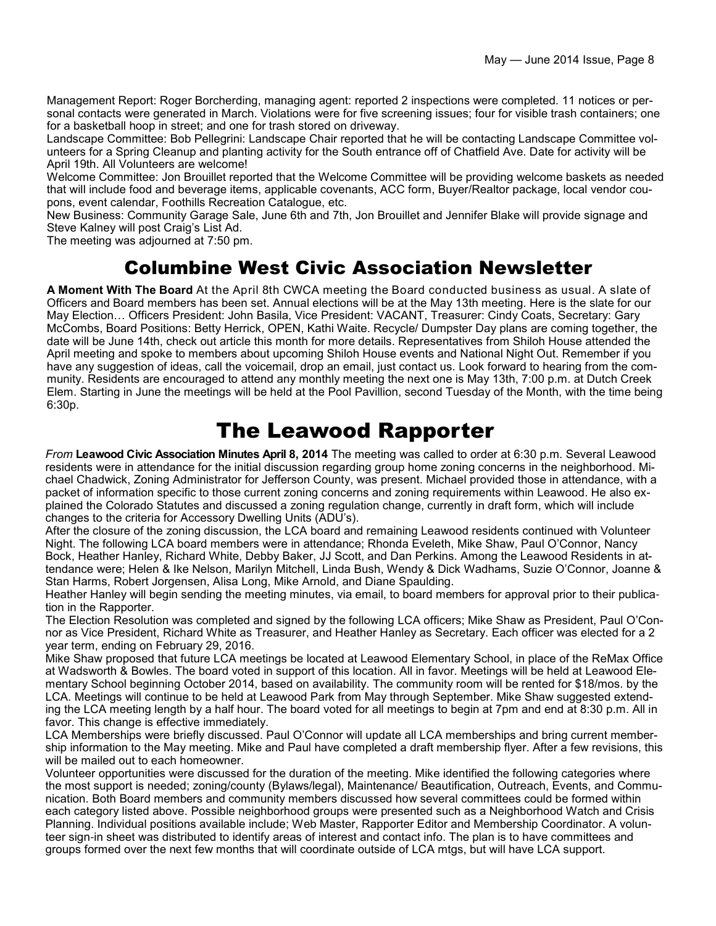Management Report: Roger Borcherding, managing agent: reported 2 inspections were completed. 11 notices or personal contacts were generated in March. Violations were for five screening issues; four for visible trash containers; one for a basketball hoop in street; and one for trash stored on driveway.

Landscape Committee: Bob Pellegrini: Landscape Chair reported that he will be contacting Landscape Committee volunteers for a Spring Cleanup and planting activity for the South entrance off of Chatfield Ave. Date for activity will be April 19th. All Volunteers are welcome!

Welcome Committee: Jon Brouillet reported that the Welcome Committee will be providing welcome baskets as needed that will include food and beverage items, applicable covenants, ACC form, Buyer/Realtor package, local vendor coupons, event calendar, Foothills Recreation Catalogue, etc.

New Business: Community Garage Sale, June 6th and 7th, Jon Brouillet and Jennifer Blake will provide signage and Steve Kalney will post Craig's List Ad.

The meeting was adjourned at 7:50 pm.

### Columbine West Civic Association Newsletter

**A Moment With The Board** At the April 8th CWCA meeting the Board conducted business as usual. A slate of Officers and Board members has been set. Annual elections will be at the May 13th meeting. Here is the slate for our May Election… Officers President: John Basila, Vice President: VACANT, Treasurer: Cindy Coats, Secretary: Gary McCombs, Board Positions: Betty Herrick, OPEN, Kathi Waite. Recycle/ Dumpster Day plans are coming together, the date will be June 14th, check out article this month for more details. Representatives from Shiloh House attended the April meeting and spoke to members about upcoming Shiloh House events and National Night Out. Remember if you have any suggestion of ideas, call the voicemail, drop an email, just contact us. Look forward to hearing from the community. Residents are encouraged to attend any monthly meeting the next one is May 13th, 7:00 p.m. at Dutch Creek Elem. Starting in June the meetings will be held at the Pool Pavillion, second Tuesday of the Month, with the time being 6:30p.

## The Leawood Rapporter

*From* **Leawood Civic Association Minutes April 8, 2014** The meeting was called to order at 6:30 p.m. Several Leawood residents were in attendance for the initial discussion regarding group home zoning concerns in the neighborhood. Michael Chadwick, Zoning Administrator for Jefferson County, was present. Michael provided those in attendance, with a packet of information specific to those current zoning concerns and zoning requirements within Leawood. He also explained the Colorado Statutes and discussed a zoning regulation change, currently in draft form, which will include changes to the criteria for Accessory Dwelling Units (ADU's).

After the closure of the zoning discussion, the LCA board and remaining Leawood residents continued with Volunteer Night. The following LCA board members were in attendance; Rhonda Eveleth, Mike Shaw, Paul O'Connor, Nancy Bock, Heather Hanley, Richard White, Debby Baker, JJ Scott, and Dan Perkins. Among the Leawood Residents in attendance were; Helen & Ike Nelson, Marilyn Mitchell, Linda Bush, Wendy & Dick Wadhams, Suzie O'Connor, Joanne & Stan Harms, Robert Jorgensen, Alisa Long, Mike Arnold, and Diane Spaulding.

Heather Hanley will begin sending the meeting minutes, via email, to board members for approval prior to their publication in the Rapporter.

The Election Resolution was completed and signed by the following LCA officers; Mike Shaw as President, Paul O'Connor as Vice President, Richard White as Treasurer, and Heather Hanley as Secretary. Each officer was elected for a 2 year term, ending on February 29, 2016.

Mike Shaw proposed that future LCA meetings be located at Leawood Elementary School, in place of the ReMax Office at Wadsworth & Bowles. The board voted in support of this location. All in favor. Meetings will be held at Leawood Elementary School beginning October 2014, based on availability. The community room will be rented for \$18/mos. by the LCA. Meetings will continue to be held at Leawood Park from May through September. Mike Shaw suggested extending the LCA meeting length by a half hour. The board voted for all meetings to begin at 7pm and end at 8:30 p.m. All in favor. This change is effective immediately.

LCA Memberships were briefly discussed. Paul O'Connor will update all LCA memberships and bring current membership information to the May meeting. Mike and Paul have completed a draft membership flyer. After a few revisions, this will be mailed out to each homeowner.

Volunteer opportunities were discussed for the duration of the meeting. Mike identified the following categories where the most support is needed; zoning/county (Bylaws/legal), Maintenance/ Beautification, Outreach, Events, and Communication. Both Board members and community members discussed how several committees could be formed within each category listed above. Possible neighborhood groups were presented such as a Neighborhood Watch and Crisis Planning. Individual positions available include; Web Master, Rapporter Editor and Membership Coordinator. A volunteer sign-in sheet was distributed to identify areas of interest and contact info. The plan is to have committees and groups formed over the next few months that will coordinate outside of LCA mtgs, but will have LCA support.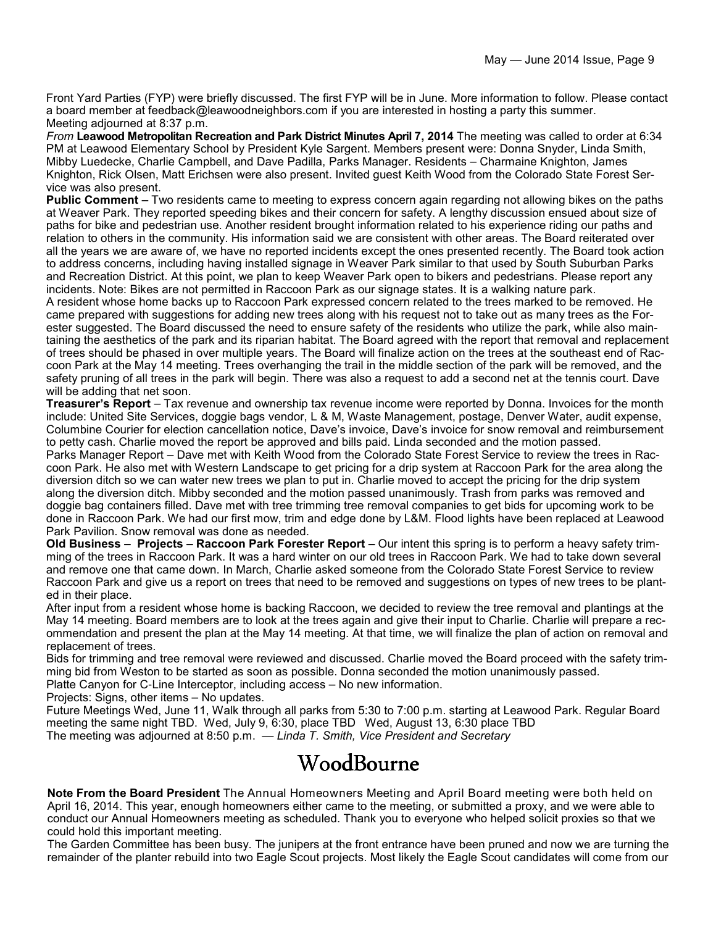Front Yard Parties (FYP) were briefly discussed. The first FYP will be in June. More information to follow. Please contact a board member at feedback@leawoodneighbors.com if you are interested in hosting a party this summer. Meeting adjourned at 8:37 p.m.

*From* **Leawood Metropolitan Recreation and Park District Minutes April 7, 2014** The meeting was called to order at 6:34 PM at Leawood Elementary School by President Kyle Sargent. Members present were: Donna Snyder, Linda Smith, Mibby Luedecke, Charlie Campbell, and Dave Padilla, Parks Manager. Residents – Charmaine Knighton, James Knighton, Rick Olsen, Matt Erichsen were also present. Invited guest Keith Wood from the Colorado State Forest Service was also present.

**Public Comment –** Two residents came to meeting to express concern again regarding not allowing bikes on the paths at Weaver Park. They reported speeding bikes and their concern for safety. A lengthy discussion ensued about size of paths for bike and pedestrian use. Another resident brought information related to his experience riding our paths and relation to others in the community. His information said we are consistent with other areas. The Board reiterated over all the years we are aware of, we have no reported incidents except the ones presented recently. The Board took action to address concerns, including having installed signage in Weaver Park similar to that used by South Suburban Parks and Recreation District. At this point, we plan to keep Weaver Park open to bikers and pedestrians. Please report any incidents. Note: Bikes are not permitted in Raccoon Park as our signage states. It is a walking nature park.

A resident whose home backs up to Raccoon Park expressed concern related to the trees marked to be removed. He came prepared with suggestions for adding new trees along with his request not to take out as many trees as the Forester suggested. The Board discussed the need to ensure safety of the residents who utilize the park, while also maintaining the aesthetics of the park and its riparian habitat. The Board agreed with the report that removal and replacement of trees should be phased in over multiple years. The Board will finalize action on the trees at the southeast end of Raccoon Park at the May 14 meeting. Trees overhanging the trail in the middle section of the park will be removed, and the safety pruning of all trees in the park will begin. There was also a request to add a second net at the tennis court. Dave will be adding that net soon.

**Treasurer's Report** – Tax revenue and ownership tax revenue income were reported by Donna. Invoices for the month include: United Site Services, doggie bags vendor, L & M, Waste Management, postage, Denver Water, audit expense, Columbine Courier for election cancellation notice, Dave's invoice, Dave's invoice for snow removal and reimbursement to petty cash. Charlie moved the report be approved and bills paid. Linda seconded and the motion passed.

Parks Manager Report – Dave met with Keith Wood from the Colorado State Forest Service to review the trees in Raccoon Park. He also met with Western Landscape to get pricing for a drip system at Raccoon Park for the area along the diversion ditch so we can water new trees we plan to put in. Charlie moved to accept the pricing for the drip system along the diversion ditch. Mibby seconded and the motion passed unanimously. Trash from parks was removed and doggie bag containers filled. Dave met with tree trimming tree removal companies to get bids for upcoming work to be done in Raccoon Park. We had our first mow, trim and edge done by L&M. Flood lights have been replaced at Leawood Park Pavilion. Snow removal was done as needed.

**Old Business – Projects – Raccoon Park Forester Report –** Our intent this spring is to perform a heavy safety trimming of the trees in Raccoon Park. It was a hard winter on our old trees in Raccoon Park. We had to take down several and remove one that came down. In March, Charlie asked someone from the Colorado State Forest Service to review Raccoon Park and give us a report on trees that need to be removed and suggestions on types of new trees to be planted in their place.

After input from a resident whose home is backing Raccoon, we decided to review the tree removal and plantings at the May 14 meeting. Board members are to look at the trees again and give their input to Charlie. Charlie will prepare a recommendation and present the plan at the May 14 meeting. At that time, we will finalize the plan of action on removal and replacement of trees.

Bids for trimming and tree removal were reviewed and discussed. Charlie moved the Board proceed with the safety trimming bid from Weston to be started as soon as possible. Donna seconded the motion unanimously passed. Platte Canyon for C-Line Interceptor, including access – No new information.

Projects: Signs, other items – No updates.

Future Meetings Wed, June 11, Walk through all parks from 5:30 to 7:00 p.m. starting at Leawood Park. Regular Board meeting the same night TBD. Wed, July 9, 6:30, place TBD Wed, August 13, 6:30 place TBD The meeting was adjourned at 8:50 p.m. — *Linda T. Smith, Vice President and Secretary*

## WoodBourne

**Note From the Board President** The Annual Homeowners Meeting and April Board meeting were both held on April 16, 2014. This year, enough homeowners either came to the meeting, or submitted a proxy, and we were able to conduct our Annual Homeowners meeting as scheduled. Thank you to everyone who helped solicit proxies so that we could hold this important meeting.

The Garden Committee has been busy. The junipers at the front entrance have been pruned and now we are turning the remainder of the planter rebuild into two Eagle Scout projects. Most likely the Eagle Scout candidates will come from our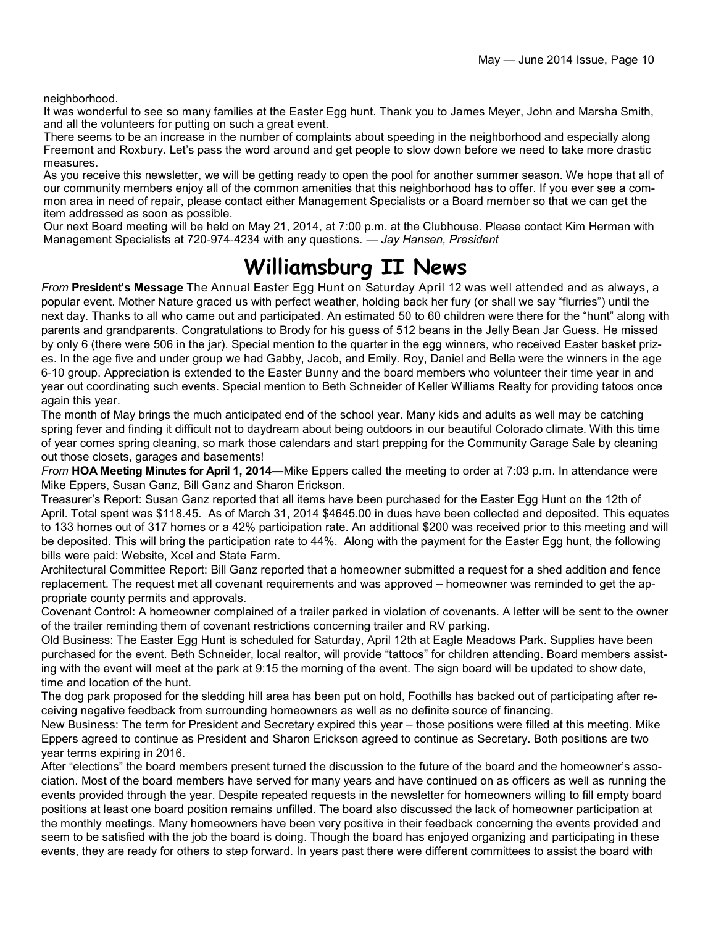neighborhood.

It was wonderful to see so many families at the Easter Egg hunt. Thank you to James Meyer, John and Marsha Smith, and all the volunteers for putting on such a great event.

There seems to be an increase in the number of complaints about speeding in the neighborhood and especially along Freemont and Roxbury. Let's pass the word around and get people to slow down before we need to take more drastic measures.

As you receive this newsletter, we will be getting ready to open the pool for another summer season. We hope that all of our community members enjoy all of the common amenities that this neighborhood has to offer. If you ever see a common area in need of repair, please contact either Management Specialists or a Board member so that we can get the item addressed as soon as possible.

Our next Board meeting will be held on May 21, 2014, at 7:00 p.m. at the Clubhouse. Please contact Kim Herman with Management Specialists at 720-974-4234 with any questions. — *Jay Hansen, President*

## **Williamsburg II News**

*From* **President's Message** The Annual Easter Egg Hunt on Saturday April 12 was well attended and as always, a popular event. Mother Nature graced us with perfect weather, holding back her fury (or shall we say "flurries") until the next day. Thanks to all who came out and participated. An estimated 50 to 60 children were there for the "hunt" along with parents and grandparents. Congratulations to Brody for his guess of 512 beans in the Jelly Bean Jar Guess. He missed by only 6 (there were 506 in the jar). Special mention to the quarter in the egg winners, who received Easter basket prizes. In the age five and under group we had Gabby, Jacob, and Emily. Roy, Daniel and Bella were the winners in the age 6-10 group. Appreciation is extended to the Easter Bunny and the board members who volunteer their time year in and year out coordinating such events. Special mention to Beth Schneider of Keller Williams Realty for providing tatoos once again this year.

The month of May brings the much anticipated end of the school year. Many kids and adults as well may be catching spring fever and finding it difficult not to daydream about being outdoors in our beautiful Colorado climate. With this time of year comes spring cleaning, so mark those calendars and start prepping for the Community Garage Sale by cleaning out those closets, garages and basements!

*From* **HOA Meeting Minutes for April 1, 2014—**Mike Eppers called the meeting to order at 7:03 p.m. In attendance were Mike Eppers, Susan Ganz, Bill Ganz and Sharon Erickson.

Treasurer's Report: Susan Ganz reported that all items have been purchased for the Easter Egg Hunt on the 12th of April. Total spent was \$118.45. As of March 31, 2014 \$4645.00 in dues have been collected and deposited. This equates to 133 homes out of 317 homes or a 42% participation rate. An additional \$200 was received prior to this meeting and will be deposited. This will bring the participation rate to 44%. Along with the payment for the Easter Egg hunt, the following bills were paid: Website, Xcel and State Farm.

Architectural Committee Report: Bill Ganz reported that a homeowner submitted a request for a shed addition and fence replacement. The request met all covenant requirements and was approved – homeowner was reminded to get the appropriate county permits and approvals.

Covenant Control: A homeowner complained of a trailer parked in violation of covenants. A letter will be sent to the owner of the trailer reminding them of covenant restrictions concerning trailer and RV parking.

Old Business: The Easter Egg Hunt is scheduled for Saturday, April 12th at Eagle Meadows Park. Supplies have been purchased for the event. Beth Schneider, local realtor, will provide "tattoos" for children attending. Board members assisting with the event will meet at the park at 9:15 the morning of the event. The sign board will be updated to show date, time and location of the hunt.

The dog park proposed for the sledding hill area has been put on hold, Foothills has backed out of participating after receiving negative feedback from surrounding homeowners as well as no definite source of financing.

New Business: The term for President and Secretary expired this year – those positions were filled at this meeting. Mike Eppers agreed to continue as President and Sharon Erickson agreed to continue as Secretary. Both positions are two year terms expiring in 2016.

After "elections" the board members present turned the discussion to the future of the board and the homeowner's association. Most of the board members have served for many years and have continued on as officers as well as running the events provided through the year. Despite repeated requests in the newsletter for homeowners willing to fill empty board positions at least one board position remains unfilled. The board also discussed the lack of homeowner participation at the monthly meetings. Many homeowners have been very positive in their feedback concerning the events provided and seem to be satisfied with the job the board is doing. Though the board has enjoyed organizing and participating in these events, they are ready for others to step forward. In years past there were different committees to assist the board with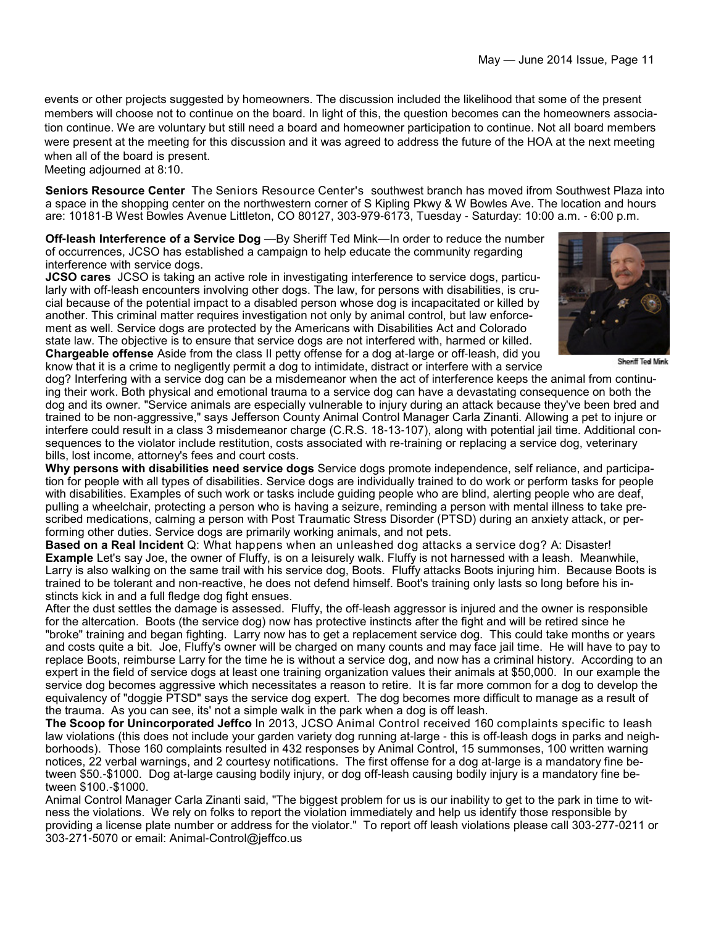events or other projects suggested by homeowners. The discussion included the likelihood that some of the present members will choose not to continue on the board. In light of this, the question becomes can the homeowners association continue. We are voluntary but still need a board and homeowner participation to continue. Not all board members were present at the meeting for this discussion and it was agreed to address the future of the HOA at the next meeting when all of the board is present.

Meeting adjourned at 8:10.

**Seniors Resource Center** The Seniors Resource Center's southwest branch has moved ifrom Southwest Plaza into a space in the shopping center on the northwestern corner of S Kipling Pkwy & W Bowles Ave. The location and hours are: 10181-B West Bowles Avenue Littleton, CO 80127, 303-979-6173, Tuesday - Saturday: 10:00 a.m. - 6:00 p.m.

**Off-leash Interference of a Service Dog —By Sheriff Ted Mink—In order to reduce the number** of occurrences, JCSO has established a campaign to help educate the community regarding interference with service dogs.

**JCSO cares** JCSO is taking an active role in investigating interference to service dogs, particularly with off-leash encounters involving other dogs. The law, for persons with disabilities, is crucial because of the potential impact to a disabled person whose dog is incapacitated or killed by another. This criminal matter requires investigation not only by animal control, but law enforcement as well. Service dogs are protected by the Americans with Disabilities Act and Colorado state law. The objective is to ensure that service dogs are not interfered with, harmed or killed. **Chargeable offense** Aside from the class II petty offense for a dog at-large or off-leash, did you

know that it is a crime to negligently permit a dog to intimidate, distract or interfere with a service



**Sheriff Ted Mink** 

dog? Interfering with a service dog can be a misdemeanor when the act of interference keeps the animal from continuing their work. Both physical and emotional trauma to a service dog can have a devastating consequence on both the dog and its owner. "Service animals are especially vulnerable to injury during an attack because they've been bred and trained to be non-aggressive," says Jefferson County Animal Control Manager Carla Zinanti. Allowing a pet to injure or interfere could result in a class 3 misdemeanor charge (C.R.S. 18-13-107), along with potential jail time. Additional consequences to the violator include restitution, costs associated with re-training or replacing a service dog, veterinary bills, lost income, attorney's fees and court costs.

**Why persons with disabilities need service dogs** Service dogs promote independence, self reliance, and participation for people with all types of disabilities. Service dogs are individually trained to do work or perform tasks for people with disabilities. Examples of such work or tasks include guiding people who are blind, alerting people who are deaf, pulling a wheelchair, protecting a person who is having a seizure, reminding a person with mental illness to take prescribed medications, calming a person with Post Traumatic Stress Disorder (PTSD) during an anxiety attack, or performing other duties. Service dogs are primarily working animals, and not pets.

**Based on a Real Incident** Q: What happens when an unleashed dog attacks a service dog? A: Disaster! **Example** Let's say Joe, the owner of Fluffy, is on a leisurely walk. Fluffy is not harnessed with a leash. Meanwhile, Larry is also walking on the same trail with his service dog, Boots. Fluffy attacks Boots injuring him. Because Boots is trained to be tolerant and non-reactive, he does not defend himself. Boot's training only lasts so long before his instincts kick in and a full fledge dog fight ensues.

After the dust settles the damage is assessed. Fluffy, the off-leash aggressor is injured and the owner is responsible for the altercation. Boots (the service dog) now has protective instincts after the fight and will be retired since he "broke" training and began fighting. Larry now has to get a replacement service dog. This could take months or years and costs quite a bit. Joe, Fluffy's owner will be charged on many counts and may face jail time. He will have to pay to replace Boots, reimburse Larry for the time he is without a service dog, and now has a criminal history. According to an expert in the field of service dogs at least one training organization values their animals at \$50,000. In our example the service dog becomes aggressive which necessitates a reason to retire. It is far more common for a dog to develop the equivalency of "doggie PTSD" says the service dog expert. The dog becomes more difficult to manage as a result of the trauma. As you can see, its' not a simple walk in the park when a dog is off leash.

**The Scoop for Unincorporated Jeffco** In 2013, JCSO Animal Control received 160 complaints specific to leash law violations (this does not include your garden variety dog running at-large - this is off-leash dogs in parks and neighborhoods). Those 160 complaints resulted in 432 responses by Animal Control, 15 summonses, 100 written warning notices, 22 verbal warnings, and 2 courtesy notifications. The first offense for a dog at-large is a mandatory fine between \$50.-\$1000. Dog at-large causing bodily injury, or dog off-leash causing bodily injury is a mandatory fine between \$100.-\$1000.

Animal Control Manager Carla Zinanti said, "The biggest problem for us is our inability to get to the park in time to witness the violations. We rely on folks to report the violation immediately and help us identify those responsible by providing a license plate number or address for the violator." To report off leash violations please call 303-277-0211 or 303-271-5070 or email: Animal-Control@jeffco.us